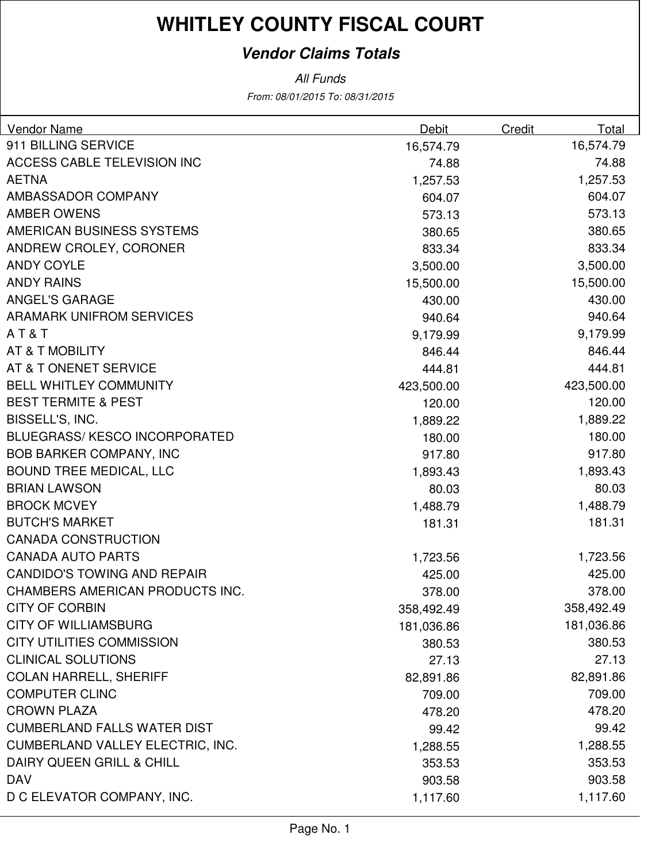### **Vendor Claims Totals**

From: 08/01/2015 To: 08/31/2015 All Funds

| Vendor Name                          | Debit      | Credit | Total      |
|--------------------------------------|------------|--------|------------|
| 911 BILLING SERVICE                  | 16,574.79  |        | 16,574.79  |
| ACCESS CABLE TELEVISION INC          | 74.88      |        | 74.88      |
| <b>AETNA</b>                         | 1,257.53   |        | 1,257.53   |
| AMBASSADOR COMPANY                   | 604.07     |        | 604.07     |
| <b>AMBER OWENS</b>                   | 573.13     |        | 573.13     |
| AMERICAN BUSINESS SYSTEMS            | 380.65     |        | 380.65     |
| ANDREW CROLEY, CORONER               | 833.34     |        | 833.34     |
| <b>ANDY COYLE</b>                    | 3,500.00   |        | 3,500.00   |
| <b>ANDY RAINS</b>                    | 15,500.00  |        | 15,500.00  |
| <b>ANGEL'S GARAGE</b>                | 430.00     |        | 430.00     |
| <b>ARAMARK UNIFROM SERVICES</b>      | 940.64     |        | 940.64     |
| AT&T                                 | 9,179.99   |        | 9,179.99   |
| AT & T MOBILITY                      | 846.44     |        | 846.44     |
| AT & T ONENET SERVICE                | 444.81     |        | 444.81     |
| <b>BELL WHITLEY COMMUNITY</b>        | 423,500.00 |        | 423,500.00 |
| <b>BEST TERMITE &amp; PEST</b>       | 120.00     |        | 120.00     |
| BISSELL'S, INC.                      | 1,889.22   |        | 1,889.22   |
| <b>BLUEGRASS/ KESCO INCORPORATED</b> | 180.00     |        | 180.00     |
| <b>BOB BARKER COMPANY, INC</b>       | 917.80     |        | 917.80     |
| <b>BOUND TREE MEDICAL, LLC</b>       | 1,893.43   |        | 1,893.43   |
| <b>BRIAN LAWSON</b>                  | 80.03      |        | 80.03      |
| <b>BROCK MCVEY</b>                   | 1,488.79   |        | 1,488.79   |
| <b>BUTCH'S MARKET</b>                | 181.31     |        | 181.31     |
| <b>CANADA CONSTRUCTION</b>           |            |        |            |
| <b>CANADA AUTO PARTS</b>             | 1,723.56   |        | 1,723.56   |
| <b>CANDIDO'S TOWING AND REPAIR</b>   | 425.00     |        | 425.00     |
| CHAMBERS AMERICAN PRODUCTS INC.      | 378.00     |        | 378.00     |
| <b>CITY OF CORBIN</b>                | 358,492.49 |        | 358,492.49 |
| <b>CITY OF WILLIAMSBURG</b>          | 181,036.86 |        | 181,036.86 |
| <b>CITY UTILITIES COMMISSION</b>     | 380.53     |        | 380.53     |
| <b>CLINICAL SOLUTIONS</b>            | 27.13      |        | 27.13      |
| <b>COLAN HARRELL, SHERIFF</b>        | 82,891.86  |        | 82,891.86  |
| <b>COMPUTER CLINC</b>                | 709.00     |        | 709.00     |
| <b>CROWN PLAZA</b>                   | 478.20     |        | 478.20     |
| <b>CUMBERLAND FALLS WATER DIST</b>   | 99.42      |        | 99.42      |
| CUMBERLAND VALLEY ELECTRIC, INC.     | 1,288.55   |        | 1,288.55   |
| DAIRY QUEEN GRILL & CHILL            | 353.53     |        | 353.53     |
| <b>DAV</b>                           | 903.58     |        | 903.58     |
| D C ELEVATOR COMPANY, INC.           | 1,117.60   |        | 1,117.60   |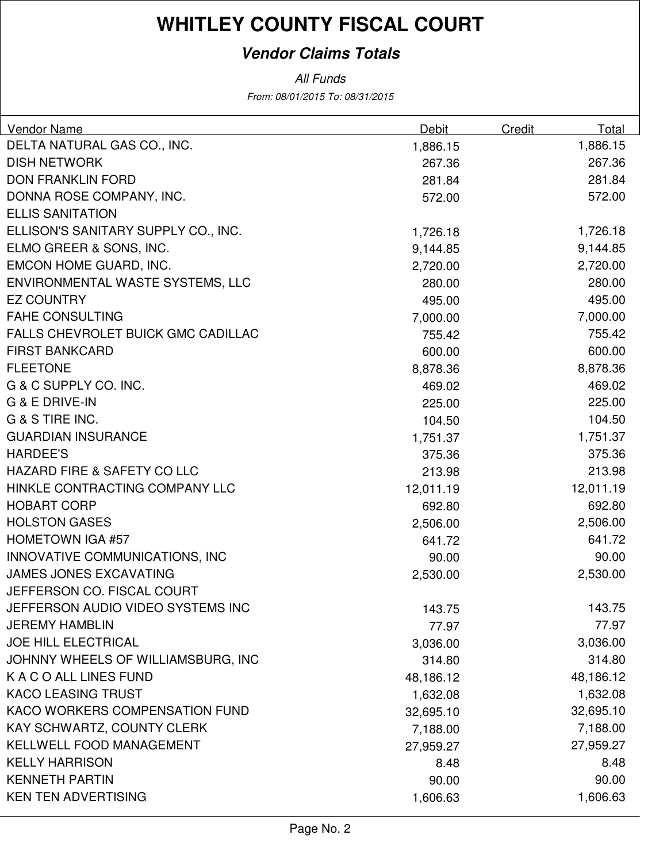### **Vendor Claims Totals**

From: 08/01/2015 To: 08/31/2015 All Funds

| DELTA NATURAL GAS CO., INC.<br>1,886.15<br>1,886.15<br><b>DISH NETWORK</b><br>267.36<br>267.36<br><b>DON FRANKLIN FORD</b><br>281.84<br>281.84<br>DONNA ROSE COMPANY, INC.<br>572.00<br>572.00<br><b>ELLIS SANITATION</b><br>ELLISON'S SANITARY SUPPLY CO., INC.<br>1,726.18<br>1,726.18<br>ELMO GREER & SONS, INC.<br>9,144.85<br>9,144.85<br>EMCON HOME GUARD, INC.<br>2,720.00<br>2,720.00 | Vendor Name                      | Debit  | Credit | Total  |
|-----------------------------------------------------------------------------------------------------------------------------------------------------------------------------------------------------------------------------------------------------------------------------------------------------------------------------------------------------------------------------------------------|----------------------------------|--------|--------|--------|
|                                                                                                                                                                                                                                                                                                                                                                                               |                                  |        |        |        |
|                                                                                                                                                                                                                                                                                                                                                                                               |                                  |        |        |        |
|                                                                                                                                                                                                                                                                                                                                                                                               |                                  |        |        |        |
|                                                                                                                                                                                                                                                                                                                                                                                               |                                  |        |        |        |
|                                                                                                                                                                                                                                                                                                                                                                                               |                                  |        |        |        |
|                                                                                                                                                                                                                                                                                                                                                                                               |                                  |        |        |        |
|                                                                                                                                                                                                                                                                                                                                                                                               |                                  |        |        |        |
|                                                                                                                                                                                                                                                                                                                                                                                               |                                  |        |        |        |
|                                                                                                                                                                                                                                                                                                                                                                                               | ENVIRONMENTAL WASTE SYSTEMS, LLC | 280.00 |        | 280.00 |
| <b>EZ COUNTRY</b><br>495.00<br>495.00                                                                                                                                                                                                                                                                                                                                                         |                                  |        |        |        |
| <b>FAHE CONSULTING</b><br>7,000.00<br>7,000.00                                                                                                                                                                                                                                                                                                                                                |                                  |        |        |        |
| FALLS CHEVROLET BUICK GMC CADILLAC<br>755.42<br>755.42                                                                                                                                                                                                                                                                                                                                        |                                  |        |        |        |
| <b>FIRST BANKCARD</b><br>600.00<br>600.00                                                                                                                                                                                                                                                                                                                                                     |                                  |        |        |        |
| <b>FLEETONE</b><br>8,878.36<br>8,878.36                                                                                                                                                                                                                                                                                                                                                       |                                  |        |        |        |
| G & C SUPPLY CO. INC.<br>469.02<br>469.02                                                                                                                                                                                                                                                                                                                                                     |                                  |        |        |        |
| <b>G &amp; E DRIVE-IN</b><br>225.00<br>225.00                                                                                                                                                                                                                                                                                                                                                 |                                  |        |        |        |
| G & S TIRE INC.<br>104.50<br>104.50                                                                                                                                                                                                                                                                                                                                                           |                                  |        |        |        |
| <b>GUARDIAN INSURANCE</b><br>1,751.37<br>1,751.37                                                                                                                                                                                                                                                                                                                                             |                                  |        |        |        |
| <b>HARDEE'S</b><br>375.36<br>375.36                                                                                                                                                                                                                                                                                                                                                           |                                  |        |        |        |
| HAZARD FIRE & SAFETY CO LLC<br>213.98<br>213.98                                                                                                                                                                                                                                                                                                                                               |                                  |        |        |        |
| HINKLE CONTRACTING COMPANY LLC<br>12,011.19<br>12,011.19                                                                                                                                                                                                                                                                                                                                      |                                  |        |        |        |
| <b>HOBART CORP</b><br>692.80<br>692.80                                                                                                                                                                                                                                                                                                                                                        |                                  |        |        |        |
| <b>HOLSTON GASES</b><br>2,506.00<br>2,506.00                                                                                                                                                                                                                                                                                                                                                  |                                  |        |        |        |
| <b>HOMETOWN IGA #57</b><br>641.72<br>641.72                                                                                                                                                                                                                                                                                                                                                   |                                  |        |        |        |
| INNOVATIVE COMMUNICATIONS, INC<br>90.00<br>90.00                                                                                                                                                                                                                                                                                                                                              |                                  |        |        |        |
| <b>JAMES JONES EXCAVATING</b><br>2,530.00<br>2,530.00                                                                                                                                                                                                                                                                                                                                         |                                  |        |        |        |
| JEFFERSON CO. FISCAL COURT                                                                                                                                                                                                                                                                                                                                                                    |                                  |        |        |        |
| JEFFERSON AUDIO VIDEO SYSTEMS INC<br>143.75<br>143.75                                                                                                                                                                                                                                                                                                                                         |                                  |        |        |        |
| <b>JEREMY HAMBLIN</b><br>77.97<br>77.97                                                                                                                                                                                                                                                                                                                                                       |                                  |        |        |        |
| <b>JOE HILL ELECTRICAL</b><br>3,036.00<br>3,036.00                                                                                                                                                                                                                                                                                                                                            |                                  |        |        |        |
| JOHNNY WHEELS OF WILLIAMSBURG, INC<br>314.80<br>314.80                                                                                                                                                                                                                                                                                                                                        |                                  |        |        |        |
| K A C O ALL LINES FUND<br>48,186.12<br>48,186.12                                                                                                                                                                                                                                                                                                                                              |                                  |        |        |        |
| <b>KACO LEASING TRUST</b><br>1,632.08<br>1,632.08                                                                                                                                                                                                                                                                                                                                             |                                  |        |        |        |
| KACO WORKERS COMPENSATION FUND<br>32,695.10<br>32,695.10                                                                                                                                                                                                                                                                                                                                      |                                  |        |        |        |
| KAY SCHWARTZ, COUNTY CLERK<br>7,188.00<br>7,188.00                                                                                                                                                                                                                                                                                                                                            |                                  |        |        |        |
| KELLWELL FOOD MANAGEMENT<br>27,959.27<br>27,959.27                                                                                                                                                                                                                                                                                                                                            |                                  |        |        |        |
| <b>KELLY HARRISON</b><br>8.48<br>8.48                                                                                                                                                                                                                                                                                                                                                         |                                  |        |        |        |
| <b>KENNETH PARTIN</b><br>90.00<br>90.00                                                                                                                                                                                                                                                                                                                                                       |                                  |        |        |        |
| <b>KEN TEN ADVERTISING</b><br>1,606.63<br>1,606.63                                                                                                                                                                                                                                                                                                                                            |                                  |        |        |        |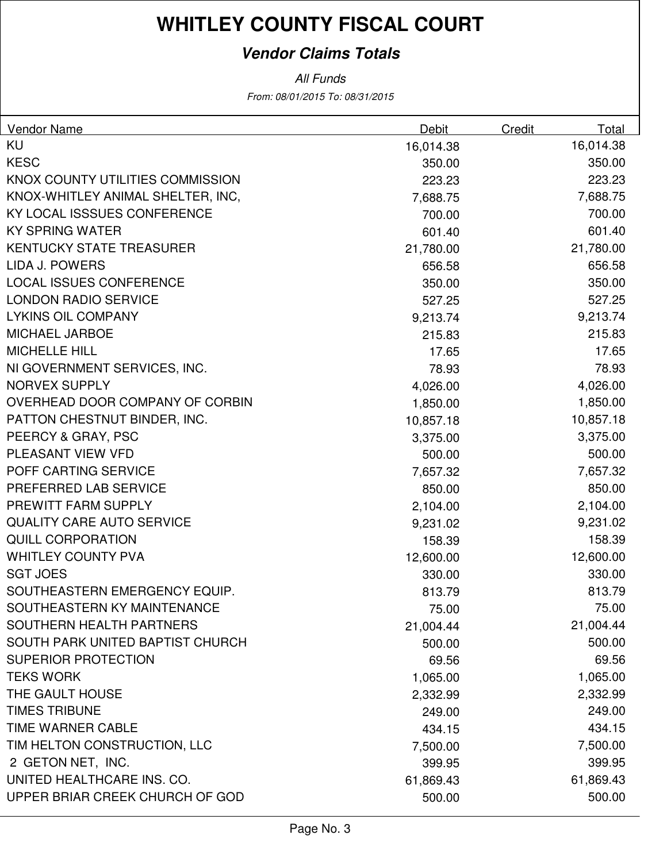### **Vendor Claims Totals**

All Funds

From: 08/01/2015 To: 08/31/2015

| <b>Vendor Name</b>                | <b>Debit</b> | Credit | Total     |
|-----------------------------------|--------------|--------|-----------|
| <b>KU</b>                         | 16,014.38    |        | 16,014.38 |
| <b>KESC</b>                       | 350.00       |        | 350.00    |
| KNOX COUNTY UTILITIES COMMISSION  | 223.23       |        | 223.23    |
| KNOX-WHITLEY ANIMAL SHELTER, INC, | 7,688.75     |        | 7,688.75  |
| KY LOCAL ISSSUES CONFERENCE       | 700.00       |        | 700.00    |
| <b>KY SPRING WATER</b>            | 601.40       |        | 601.40    |
| <b>KENTUCKY STATE TREASURER</b>   | 21,780.00    |        | 21,780.00 |
| <b>LIDA J. POWERS</b>             | 656.58       |        | 656.58    |
| <b>LOCAL ISSUES CONFERENCE</b>    | 350.00       |        | 350.00    |
| <b>LONDON RADIO SERVICE</b>       | 527.25       |        | 527.25    |
| <b>LYKINS OIL COMPANY</b>         | 9,213.74     |        | 9,213.74  |
| <b>MICHAEL JARBOE</b>             | 215.83       |        | 215.83    |
| <b>MICHELLE HILL</b>              | 17.65        |        | 17.65     |
| NI GOVERNMENT SERVICES, INC.      | 78.93        |        | 78.93     |
| <b>NORVEX SUPPLY</b>              | 4,026.00     |        | 4,026.00  |
| OVERHEAD DOOR COMPANY OF CORBIN   | 1,850.00     |        | 1,850.00  |
| PATTON CHESTNUT BINDER, INC.      | 10,857.18    |        | 10,857.18 |
| PEERCY & GRAY, PSC                | 3,375.00     |        | 3,375.00  |
| PLEASANT VIEW VFD                 | 500.00       |        | 500.00    |
| POFF CARTING SERVICE              | 7,657.32     |        | 7,657.32  |
| PREFERRED LAB SERVICE             | 850.00       |        | 850.00    |
| PREWITT FARM SUPPLY               | 2,104.00     |        | 2,104.00  |
| <b>QUALITY CARE AUTO SERVICE</b>  | 9,231.02     |        | 9,231.02  |
| <b>QUILL CORPORATION</b>          | 158.39       |        | 158.39    |
| <b>WHITLEY COUNTY PVA</b>         | 12,600.00    |        | 12,600.00 |
| <b>SGT JOES</b>                   | 330.00       |        | 330.00    |
| SOUTHEASTERN EMERGENCY EQUIP.     | 813.79       |        | 813.79    |
| SOUTHEASTERN KY MAINTENANCE       | 75.00        |        | 75.00     |
| SOUTHERN HEALTH PARTNERS          | 21,004.44    |        | 21,004.44 |
| SOUTH PARK UNITED BAPTIST CHURCH  | 500.00       |        | 500.00    |
| <b>SUPERIOR PROTECTION</b>        | 69.56        |        | 69.56     |
| <b>TEKS WORK</b>                  | 1,065.00     |        | 1,065.00  |
| THE GAULT HOUSE                   | 2,332.99     |        | 2,332.99  |
| <b>TIMES TRIBUNE</b>              | 249.00       |        | 249.00    |
| <b>TIME WARNER CABLE</b>          | 434.15       |        | 434.15    |
| TIM HELTON CONSTRUCTION, LLC      | 7,500.00     |        | 7,500.00  |
| 2 GETON NET, INC.                 | 399.95       |        | 399.95    |
| UNITED HEALTHCARE INS. CO.        | 61,869.43    |        | 61,869.43 |
| UPPER BRIAR CREEK CHURCH OF GOD   | 500.00       |        | 500.00    |